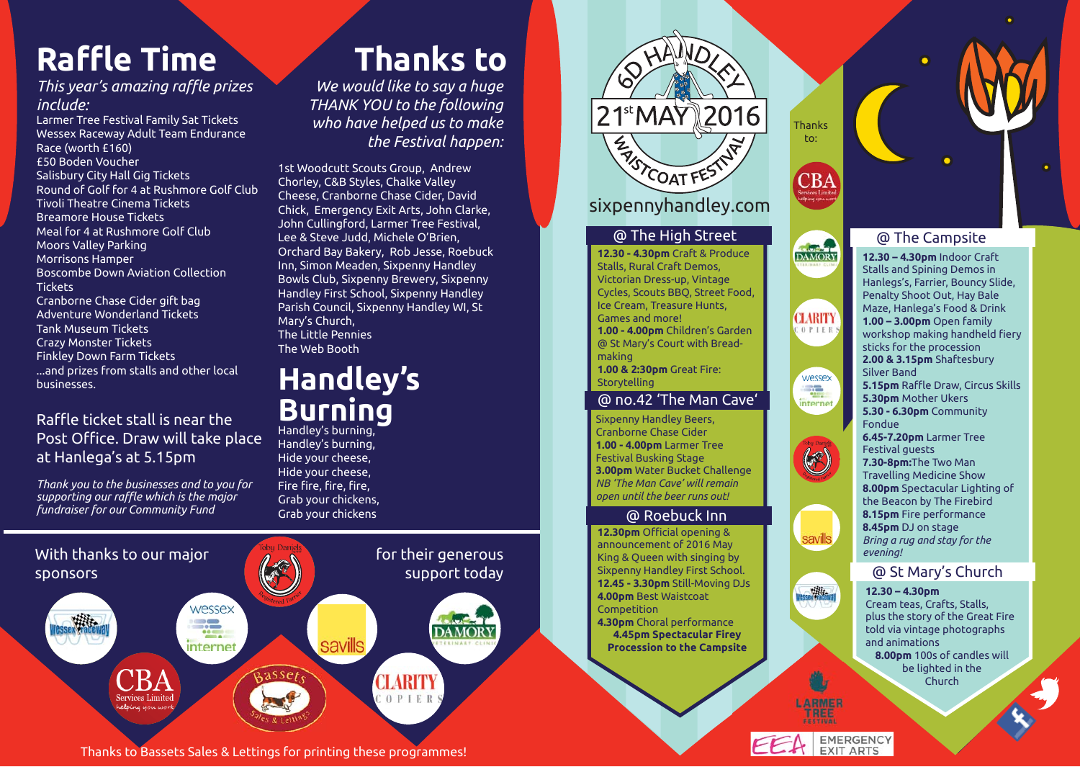# **Ra ffl e Time**

#### *This year's amazing raffl e prizes include:*

Larmer Tree Festival Family Sat Tickets Wessex Raceway Adult Team Endurance Race (worth £160) £50 Boden Voucher Salisbury City Hall Gig Tickets Round of Golf for 4 at Rushmore Golf Club Tivoli Theatre Cinema Tickets Breamore House Tickets Meal for 4 at Rushmore Golf Club Moors Valley Parking Morrisons Hamper Boscombe Down Aviation Collection **Tickets** Cranborne Chase Cider gift bag Adventure Wonderland Tickets Tank Museum Tickets Crazy Monster Tickets Finkley Down Farm Tickets ...and prizes from stalls and other local businesses.

Raffle ticket stall is near the l Post Office. Draw will take place at Hanlega's at 5.15pm

*Thank you to the businesses and to you for supporting our raffl e which is the major fundraiser for our Community Fund*

## **Thanks to**

*We would like to say a huge THANK YOU to the following who have helped us to make the Festival happen:*

1st Woodcutt Scouts Group, Andrew Chorley, C&B Styles, Chalke Valley Cheese, Cranborne Chase Cider, David Chick, Emergency Exit Arts, John Clarke, John Cullingford, Larmer Tree Festival, Lee & Steve Judd, Michele O'Brien, Orchard Bay Bakery, Rob Jesse, Roebuck Inn, Simon Meaden, Sixpenny Handley Bowls Club, Sixpenny Brewery, Sixpenny Handley First School, Sixpenny Handley Parish Council, Sixpenny Handley WI, St Mary's Church, The Little Pennies The Web Booth

## **Handley's Burning**

Handley's burning, Hide your cheese, Hide your cheese, Fire fire, fire, fire, Grab your chickens, Grab your chickens



### sixpennyhandley.com

**@ The High Street @ The Campsite 12.30 - 4.30pm** Craft & Produce Stalls, Rural Craft Demos, Victorian Dress-up, Vintage Cycles, Scouts BBQ, Street Food, Ice Cream, Treasure Hunts, Games and more! **1.00 - 4.00pm** Children's Garden @ St Mary's Court with Breadmaking **1.00 & 2:30pm** Great Fire: Storytelling

#### @ no.42 'The Man Cave'

Sixpenny Handley Beers, Cranborne Chase Cider **1.00 - 4.00pm** Larmer Tree Festival Busking Stage **3.00pm** Water Bucket Challenge *NB 'The Man Cave' will remain open until the beer runs out!*

#### @ Roebuck Inn

**12.30pm** Official opening & announcement of 2016 May King & Queen with singing by Sixpenny Handley First School. **12.45 - 3.30pm** Still-Moving DJs **4.00pm** Best Waistcoat Competition **4.30pm** Choral performance **4.45pm Spectacular Firey Procession to the Campsite**



**12.30 – 4.30pm** Indoor Craft Stalls and Spining Demos in Hanlegs's, Farrier, Bouncy Slide, Penalty Shoot Out, Hay Bale Maze, Hanlega's Food & Drink **1.00 – 3.00pm** Open family workshop making handheld fiery sticks for the procession **2.00 & 3.15pm** Shaftesbury Silver Band **5.15pm** Raffle Draw, Circus Skills **5.30pm** Mother Ukers **5.30 - 6.30pm** Community Fondue **6.45-7.20pm** Larmer Tree Festival guests **7.30-8pm:**The Two Man Travelling Medicine Show **8.00pm** Spectacular Lighting of the Beacon by The Firebird **8.15pm** Fire performance



**Thanks** to:

CBA

**CLARITY**  $0$  P<sub>1E</sub><sub>1</sub>

> wessex **RE** internet

> > **ARTIC**

### @ St Mary's Church

#### **12.30 – 4.30pm**

Cream teas, Crafts, Stalls, plus the story of the Great Fire told via vintage photographs and animations **8.00pm** 100s of candles will be lighted in the **Church** 

**ARMER** TREE





Thanks to Bassets Sales & Lettings for printing these programmes!